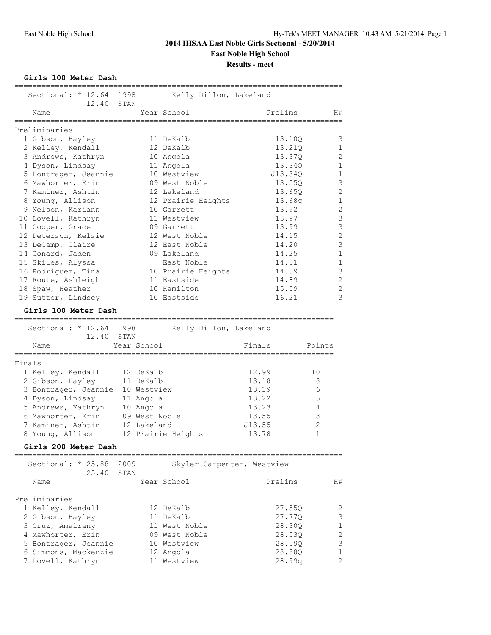**Girls 100 Meter Dash**

|        | Sectional: $* 12.64$                        | 1998         |               | Kelly Dillon, Lakeland     |        |         |                |  |
|--------|---------------------------------------------|--------------|---------------|----------------------------|--------|---------|----------------|--|
|        | 12.40<br>Name                               | STAN         |               | Year School                |        | Prelims | H#             |  |
|        | Preliminaries                               |              |               |                            |        |         |                |  |
|        | 1 Gibson, Hayley                            |              |               | 11 DeKalb                  |        | 13.10Q  | 3              |  |
|        | 2 Kelley, Kendall                           |              |               | 12 DeKalb                  |        | 13.21Q  | $\mathbf{1}$   |  |
|        | 3 Andrews, Kathryn                          |              |               | 10 Angola                  |        | 13.37Q  | 2              |  |
|        | 4 Dyson, Lindsay                            |              |               | 11 Angola                  |        | 13.340  | 1              |  |
|        | 5 Bontrager, Jeannie                        |              |               | 10 Westview                |        | J13.340 | $\mathbf{1}$   |  |
|        | 6 Mawhorter, Erin                           |              |               | 09 West Noble              |        | 13.550  | 3              |  |
|        | 7 Kaminer, Ashtin                           |              |               | 12 Lakeland                |        | 13.65Q  | $\overline{2}$ |  |
|        | 8 Young, Allison                            |              |               | 12 Prairie Heights         |        | 13.68q  | $\mathbf{1}$   |  |
|        | 9 Nelson, Kariann                           |              |               | 10 Garrett                 |        | 13.92   | $\mathbf{2}$   |  |
|        | 10 Lovell, Kathryn                          |              |               | 11 Westview                |        | 13.97   | $\mathcal{S}$  |  |
|        | 11 Cooper, Grace                            |              |               | 09 Garrett                 |        | 13.99   | 3              |  |
|        | 12 Peterson, Kelsie                         |              |               | 12 West Noble              |        | 14.15   | $\mathbf{2}$   |  |
|        | 13 DeCamp, Claire                           |              |               | 12 East Noble              |        | 14.20   | 3              |  |
|        | 14 Conard, Jaden                            |              |               | 09 Lakeland                |        | 14.25   | $\mathbf 1$    |  |
|        | 15 Skiles, Alyssa                           |              |               | East Noble                 |        | 14.31   | $\mathbf 1$    |  |
|        | 16 Rodriguez, Tina                          |              |               | 10 Prairie Heights         |        | 14.39   | 3              |  |
|        | 17 Route, Ashleigh                          |              |               | 11 Eastside                |        | 14.89   | $\mathbf{2}$   |  |
|        | 18 Spaw, Heather                            |              |               | 10 Hamilton                |        | 15.09   | $\mathbf{2}$   |  |
|        | 19 Sutter, Lindsey                          |              |               | 10 Eastside                |        | 16.21   | 3              |  |
|        | Girls 100 Meter Dash<br>:================== |              |               |                            |        |         |                |  |
|        | Sectional: * 12.64<br>12.40                 | 1998<br>STAN |               | Kelly Dillon, Lakeland     |        |         |                |  |
|        | Name                                        |              | Year School   |                            | Finals |         | Points         |  |
| Finals | =========                                   |              |               |                            |        |         |                |  |
|        | 1 Kelley, Kendall                           |              | 12 DeKalb     |                            | 12.99  |         | 10             |  |
|        | 2 Gibson, Hayley                            |              | 11 DeKalb     |                            | 13.18  |         | 8              |  |
|        | 3 Bontrager, Jeannie                        |              | 10 Westview   |                            | 13.19  |         | 6              |  |
|        | 4 Dyson, Lindsay                            |              | 11 Angola     |                            | 13.22  |         | 5              |  |
|        | 5 Andrews, Kathryn                          |              | 10 Angola     |                            | 13.23  |         | 4              |  |
|        | 6 Mawhorter, Erin                           |              | 09 West Noble |                            | 13.55  |         | 3              |  |
|        | 7 Kaminer, Ashtin                           |              | 12 Lakeland   |                            | J13.55 |         | 2              |  |
|        | 8 Young, Allison                            |              |               | 12 Prairie Heights         | 13.78  |         | 1              |  |
|        | Girls 200 Meter Dash                        |              |               |                            |        |         |                |  |
|        | Sectional: * 25.88<br>25.40                 | 2009<br>STAN |               | Skyler Carpenter, Westview |        |         |                |  |
|        | Name                                        |              |               | Year School                |        | Prelims | H#             |  |
|        | Preliminaries                               |              |               |                            |        |         |                |  |
|        | 1 Kelley, Kendall                           |              |               | 12 DeKalb                  |        | 27.55Q  | 2              |  |
|        | 2 Gibson, Hayley                            |              |               | 11 DeKalb                  |        | 27.77Q  | 3              |  |
|        | 3 Cruz, Amairany                            |              |               | 11 West Noble              |        | 28.30Q  | 1              |  |
|        | 4 Mawhorter, Erin                           |              |               | 09 West Noble              |        | 28.53Q  | 2              |  |
|        | 5 Bontrager, Jeannie                        |              |               | 10 Westview                |        | 28.59Q  | $\mathcal{S}$  |  |
|        | 6 Simmons, Mackenzie                        |              |               | 12 Angola                  |        | 28.88Q  | $\mathbf 1$    |  |
|        | 7 Lovell, Kathryn                           |              |               | 11 Westview                |        | 28.99q  | 2              |  |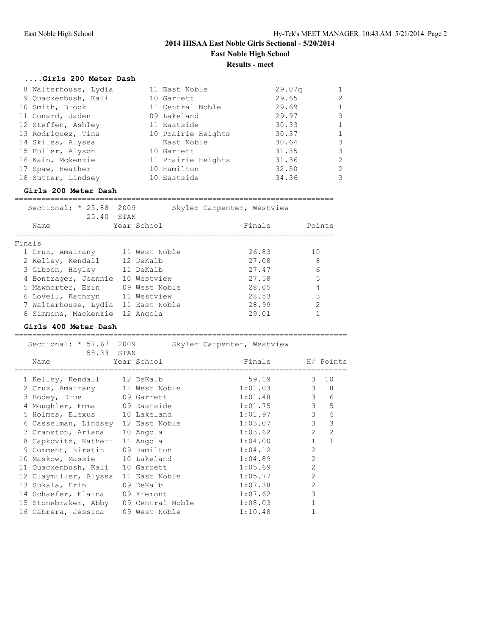# **....Girls 200 Meter Dash**

| 8 Walterhouse, Lydia | 11 East Noble      | 29.07q | $\mathbf{1}$ |
|----------------------|--------------------|--------|--------------|
| 9 Quackenbush, Kali  | 10 Garrett         | 29.65  | 2            |
| 10 Smith, Brook      | 11 Central Noble   | 29.69  | $\mathbf{1}$ |
| 11 Conard, Jaden     | 09 Lakeland        | 29.97  | 3            |
| 12 Steffen, Ashley   | 11 Eastside        | 30.33  | 1            |
| 13 Rodriquez, Tina   | 10 Prairie Heights | 30.37  | $\mathbf{1}$ |
| 14 Skiles, Alyssa    | East Noble         | 30.64  | 3            |
| 15 Fuller, Alyson    | 10 Garrett         | 31.35  | 3            |
| 16 Kain, Mckenzie    | 11 Prairie Heights | 31.36  | 2            |
| 17 Spaw, Heather     | 10 Hamilton        | 32.50  | 2            |
| 18 Sutter, Lindsey   | 10 Eastside        | 34.36  | 3            |
|                      |                    |        |              |

### **Girls 200 Meter Dash**

=======================================================================

|        | Sectional: $* 25.88$               | 2009 |               | Skyler Carpenter, Westview |        |
|--------|------------------------------------|------|---------------|----------------------------|--------|
|        | 25.40<br>Name                      | STAN | Year School   | Finals                     | Points |
| Finals |                                    |      |               |                            |        |
|        | 1 Cruz, Amairany                   |      | 11 West Noble | 26.83                      | 10     |
|        | 2 Kelley, Kendall                  |      | 12 DeKalb     | 27.08                      | 8      |
|        | 3 Gibson, Hayley                   |      | 11 DeKalb     | 27.47                      | 6      |
|        | 4 Bontrager, Jeannie               |      | 10 Westview   | 27.58                      | 5      |
|        | 5 Mawhorter, Erin                  |      | 09 West Noble | 28.05                      | 4      |
|        | 6 Lovell, Kathryn                  |      | 11 Westview   | 28.53                      | 3      |
|        | 7 Walterhouse, Lydia 11 East Noble |      |               | 28.99                      | 2      |
|        | 8 Simmons, Mackenzie               |      | 12 Angola     | 29.01                      |        |

#### **Girls 400 Meter Dash** ==========================================================================

|    | Sectional: * 57.67 2009<br>58.33 STAN |                  | Skyler Carpenter, Westview |                |               |
|----|---------------------------------------|------------------|----------------------------|----------------|---------------|
|    | Name                                  | Year School      | Finals                     |                | H# Points     |
|    | 1 Kelley, Kendall 12 DeKalb           |                  | 59.19                      |                | $3 \quad 10$  |
|    | 2 Cruz, Amairany 11 West Noble        |                  | 1:01.03                    | 3              | 8             |
|    | 3 Bodey, Drue 09 Garrett              |                  | 1:01.48                    | $\mathcal{S}$  | 6             |
|    | 4 Moughler, Emma 09 Eastside          |                  | 1:01.75                    | 3              | 5             |
|    | 5 Holmes, Elexus                      | 10 Lakeland      | 1:01.97                    | 3              | 4             |
|    | 6 Casselman, Lindsey 12 East Noble    |                  | 1:03.07                    | 3              | 3             |
|    | 7 Cranston, Ariana                    | 10 Angola        | 1:03.62                    | $\mathcal{L}$  | $\mathcal{P}$ |
|    | 8 Capkovitz, Katheri                  | 11 Angola        | 1:04.00                    | $\mathbf{1}$   | $\mathbf{1}$  |
|    | 9 Comment, Kirstin 09 Hamilton        |                  | 1:04.12                    | $\overline{2}$ |               |
| 10 | Maskow, Massie 10 Lakeland            |                  | 1:04.89                    | $\mathcal{L}$  |               |
|    | 11 Quackenbush, Kali 10 Garrett       |                  | 1:05.69                    | $\mathcal{L}$  |               |
|    | 12 Claymiller, Alyssa                 | 11 East Noble    | 1:05.77                    | $\overline{2}$ |               |
|    | 13 Sukala, Erin                       | 09 DeKalb        | 1:07.38                    | $\overline{2}$ |               |
|    | 14 Schaefer, Elaina 09 Fremont        |                  | 1:07.62                    | 3              |               |
|    | 15 Stonebraker, Abby                  | 09 Central Noble | 1:08.03                    |                |               |
|    | 16 Cabrera, Jessica                   | 09 West Noble    | 1:10.48                    |                |               |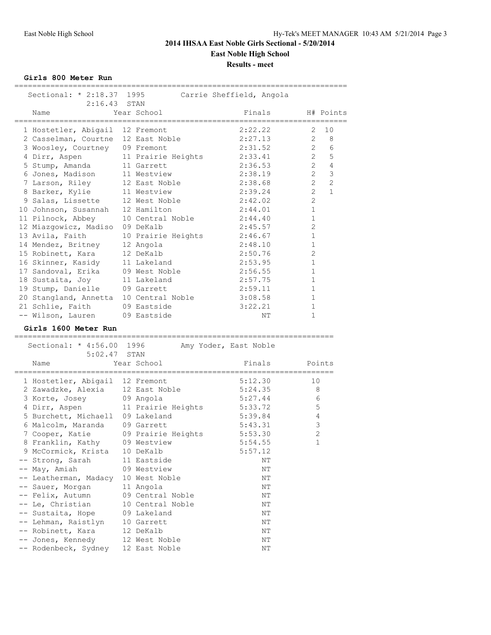**Girls 800 Meter Run**

| Sectional: * 2:18.37 1995                 |                                | Carrie Sheffield, Angola |                |                |
|-------------------------------------------|--------------------------------|--------------------------|----------------|----------------|
| $2:16.43$ STAN                            |                                |                          |                |                |
| Name<br>=================                 | Year School                    | Finals                   | :========      | H# Points      |
| 1 Hostetler, Abigail 12 Fremont           |                                | 2:22.22                  | 2              | 10             |
| 2 Casselman, Courtne 12 East Noble        |                                | 2:27.13                  | 2              | 8              |
| 3 Woosley, Courtney 09 Fremont            |                                | 2:31.52                  | $\overline{2}$ | 6              |
| 4 Dirr, Aspen                             | 11 Prairie Heights             | 2:33.41                  | 2              | 5              |
| 5 Stump, Amanda                           | 11 Garrett                     | 2:36.53                  | $\overline{2}$ | $\overline{4}$ |
| 6 Jones, Madison                          | 11 Westview                    | 2:38.19                  | $\overline{2}$ | $\mathcal{S}$  |
| 7 Larson, Riley                           | 12 East Noble                  | 2:38.68                  | $\mathfrak{D}$ | $\overline{2}$ |
| 8 Barker, Kylie                           | 11 Westview                    | 2:39.24                  | $\mathfrak{D}$ | $\mathbf{1}$   |
| 9 Salas, Lissette                         | 12 West Noble                  | 2:42.02                  | $\overline{2}$ |                |
|                                           | 12 Hamilton                    | 2:44.01                  | $\mathbf{1}$   |                |
| 10 Johnson, Susannah                      |                                |                          | $\mathbf{1}$   |                |
| 11 Pilnock, Abbey                         | 10 Central Noble               | 2:44.40                  | $\overline{2}$ |                |
| 12 Miazgowicz, Madiso                     | 09 DeKalb                      | 2:45.57                  |                |                |
| 13 Avila, Faith                           | 10 Prairie Heights             | 2:46.67                  | $\mathbf 1$    |                |
| 14 Mendez, Britney                        | 12 Angola                      | 2:48.10                  | $\mathbf 1$    |                |
| 15 Robinett, Kara                         | 12 DeKalb                      | 2:50.76                  | 2              |                |
| 16 Skinner, Kasidy                        | 11 Lakeland                    | 2:53.95                  | $\mathbf{1}$   |                |
| 17 Sandoval, Erika                        | 09 West Noble                  | 2:56.55                  | $\mathbf{1}$   |                |
| 18 Sustaita, Joy                          | 11 Lakeland                    | 2:57.75                  | $\mathbf{1}$   |                |
| 19 Stump, Danielle                        | 09 Garrett                     | 2:59.11                  | $\mathbf{1}$   |                |
| 20 Stangland, Annetta 10 Central Noble    |                                | 3:08.58                  | $\mathbf{1}$   |                |
| 21 Schlie, Faith                          | 09 Eastside                    | 3:22.21                  | $\mathbf{1}$   |                |
| -- Wilson, Lauren                         | 09 Eastside                    | NΤ                       | $\mathbf{1}$   |                |
| Girls 1600 Meter Run                      |                                |                          |                |                |
|                                           |                                |                          |                |                |
|                                           |                                |                          |                |                |
| Sectional: * 4:56.00 1996                 |                                | Amy Yoder, East Noble    |                |                |
| 5:02.47                                   | STAN                           |                          |                |                |
| Name                                      | Year School                    | Finals                   |                | Points         |
|                                           |                                | 5:12.30                  | 10             |                |
| 1 Hostetler, Abigail 12 Fremont           |                                | 5:24.35                  | 8              |                |
| 2 Zawadzke, Alexia 12 East Noble          |                                |                          |                |                |
| 3 Korte, Josey                            | 09 Angola                      | 5:27.44                  |                | 6              |
| 4 Dirr, Aspen                             | 11 Prairie Heights             | 5:33.72                  | 5              |                |
| 5 Burchett, Michaell                      | 09 Lakeland                    | 5:39.84                  | 4              |                |
| 6 Malcolm, Maranda                        | 09 Garrett                     | 5:43.31                  | $\mathsf 3$    |                |
| 7 Cooper, Katie                           | 09 Prairie Heights             | 5:53.30                  | $\overline{2}$ |                |
| 8 Franklin, Kathy                         | 09 Westview                    | 5:54.55                  | $\mathbf 1$    |                |
| 9 McCormick, Krista                       | 10 DeKalb                      | 5:57.12                  |                |                |
| -- Strong, Sarah                          | 11 Eastside                    | NΤ                       |                |                |
| -- May, Amiah                             | 09 Westview                    | NΤ                       |                |                |
| -- Leatherman, Madacy                     | 10 West Noble                  | NΤ                       |                |                |
| -- Sauer, Morgan                          | 11 Angola                      | NΤ                       |                |                |
| -- Felix, Autumn                          | 09 Central Noble               | NΤ                       |                |                |
| -- Le, Christian                          | 10 Central Noble               | ΝT                       |                |                |
| -- Sustaita, Hope                         | 09 Lakeland                    | NΤ                       |                |                |
| -- Lehman, Raistlyn                       | 10 Garrett                     | NΤ                       |                |                |
| -- Robinett, Kara                         | 12 DeKalb                      | ΝT                       |                |                |
| -- Jones, Kennedy<br>-- Rodenbeck, Sydney | 12 West Noble<br>12 East Noble | NΤ<br>NΤ                 |                |                |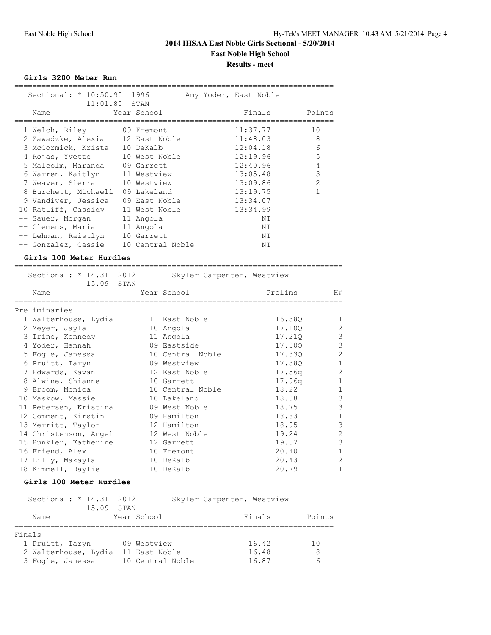**Girls 3200 Meter Run**

| Sectional: * 10:50.90 1996       |                  | Amy Yoder, East Noble |                |
|----------------------------------|------------------|-----------------------|----------------|
| $11:01.80$ STAN                  |                  |                       |                |
| Name                             | Year School      | Finals                | Points         |
| 1 Welch, Riley 09 Fremont        |                  | 11:37.77              | 10             |
| 2 Zawadzke, Alexia 12 East Noble |                  | 11:48.03              | 8              |
| 3 McCormick, Krista 10 DeKalb    |                  | 12:04.18              | 6              |
| 4 Rojas, Yvette 10 West Noble    |                  | 12:19.96              | 5              |
| 5 Malcolm, Maranda 09 Garrett    |                  | 12:40.96              | 4              |
| 6 Warren, Kaitlyn 11 Westview    |                  | 13:05.48              | 3              |
| 7 Weaver, Sierra 10 Westview     |                  | 13:09.86              | $\mathfrak{D}$ |
| 8 Burchett, Michaell 09 Lakeland |                  | 13:19.75              |                |
| 9 Vandiver, Jessica              | 09 East Noble    | 13:34.07              |                |
| 10 Ratliff, Cassidy              | 11 West Noble    | 13:34.99              |                |
| Sauer, Morgan                    | 11 Angola        | NΤ                    |                |
| Clemens, Maria 11 Angola         |                  | NΤ                    |                |
| Lehman, Raistlyn                 | 10 Garrett       | NΤ                    |                |
| -- Gonzalez, Cassie              | 10 Central Noble | NΤ                    |                |

**Girls 100 Meter Hurdles** ========================================================================= Sectional: \* 14.31 2012 Skyler Carpenter, Westview 15.09 STAN Name Tear School Prelims H# ========================================================================= Preliminaries 1 Walterhouse, Lydia 11 East Noble 16.38Q 1 2 Meyer, Jayla 10 Angola 17.10Q 2 3 Trine, Kennedy 11 Angola 17.21Q 3 4 Yoder, Hannah 199 Eastside 17.30Q 3 5 Fogle, Janessa 10 Central Noble 17.33Q 2 6 Pruitt, Taryn 09 Westview 17.38Q 1 7 Edwards, Kavan 12 East Noble 17.56q 2 8 Alwine, Shianne 10 Garrett 18 17.96q 1 9 Broom, Monica 10 Central Noble 18.22 1 10 Maskow, Massie 10 Lakeland 18.38 3 11 Petersen, Kristina and 09 West Noble 18.75 3 12 Comment, Kirstin 19 09 Hamilton 18.83 1 13 Merritt, Taylor 12 Hamilton 18.95 3 14 Christenson, Angel 12 West Noble 19.24 2 15 Hunkler, Katherine 12 Garrett 19.57 3

#### **Girls 100 Meter Hurdles**

| Sectional: $*$ 14.31 | 2012             | Skyler Carpenter, Westview |        |
|----------------------|------------------|----------------------------|--------|
| 15.09                | STAN             |                            |        |
| Name                 | Year School      | Finals                     | Points |
|                      |                  |                            |        |
| Finals               |                  |                            |        |
| 1 Pruitt, Taryn      | 09 Westview      | 16.42                      | 1 N    |
| 2 Walterhouse, Lydia | 11 East Noble    | 16.48                      | 8      |
| 3 Fogle, Janessa     | 10 Central Noble | 16.87                      | h      |

 16 Friend, Alex 10 Fremont 20.40 1 17 Lilly, Makayla 10 DeKalb 20.43 2 18 Kimmell, Baylie 10 DeKalb 20.79 1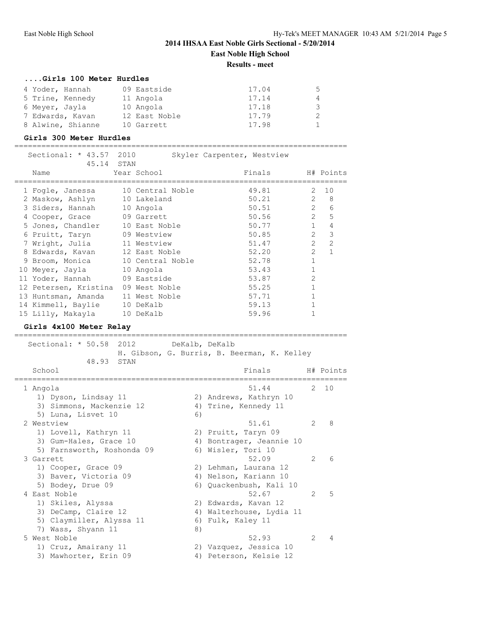#### **....Girls 100 Meter Hurdles**

| 4 Yoder, Hannah   | 09 Eastside   | 17.04 | 5  |
|-------------------|---------------|-------|----|
| 5 Trine, Kennedy  | 11 Angola     | 17.14 | 4  |
| 6 Meyer, Jayla    | 10 Angola     | 17.18 | 3  |
| 7 Edwards, Kavan  | 12 East Noble | 17.79 | -2 |
| 8 Alwine, Shianne | 10 Garrett    | 17.98 |    |

#### **Girls 300 Meter Hurdles**

==========================================================================

| Sectional: * 43.57 2010<br>45.14 STAN |                  | Skyler Carpenter, Westview |                |                |
|---------------------------------------|------------------|----------------------------|----------------|----------------|
| Name                                  | Year School      | Finals                     |                | H# Points      |
| 1 Fogle, Janessa                      | 10 Central Noble | 49.81                      | $2^{\circ}$    | 10             |
| 2 Maskow, Ashlyn                      | 10 Lakeland      | 50.21                      | $\mathcal{L}$  | 8              |
| 3 Siders, Hannah                      | 10 Angola        | 50.51                      | $\overline{2}$ | 6              |
| 4 Cooper, Grace                       | 09 Garrett       | 50.56                      | $\overline{2}$ | 5              |
| 5 Jones, Chandler                     | 10 East Noble    | 50.77                      | $\mathbf{1}$   | 4              |
| 6 Pruitt, Taryn                       | 09 Westview      | 50.85                      | $\mathcal{L}$  | 3              |
| 7 Wright, Julia                       | 11 Westview      | 51.47                      | $\mathcal{L}$  | $\mathfrak{D}$ |
| 8 Edwards, Kavan                      | 12 East Noble    | 52.20                      | $\mathcal{L}$  | 1              |
| 9 Broom, Monica                       | 10 Central Noble | 52.78                      |                |                |
| 10 Meyer, Jayla                       | 10 Angola        | 53.43                      |                |                |
| 11 Yoder, Hannah                      | 09 Eastside      | 53.87                      | $\overline{2}$ |                |
| 12 Petersen, Kristina                 | 09 West Noble    | 55.25                      |                |                |
| 13 Huntsman, Amanda                   | 11 West Noble    | 57.71                      |                |                |
| 14 Kimmell, Baylie                    | 10 DeKalb        | 59.13                      |                |                |
| 15 Lilly, Makayla                     | 10 DeKalb        | 59.96                      |                |                |

**Girls 4x100 Meter Relay**

========================================================================== Sectional: \* 50.58 2012 DeKalb, DeKalb H. Gibson, G. Burris, B. Beerman, K. Kelley 48.93 STAN School **Finals** H# Points ========================================================================== 1 Angola 51.44 2 10 1) Dyson, Lindsay 11 2) Andrews, Kathryn 10 3) Simmons, Mackenzie 12 4) Trine, Kennedy 11 5) Luna, Lisvet 10 6) 2 Westview 51.61 2 8 1) Lovell, Kathryn 11 2) Pruitt, Taryn 09 3) Gum-Hales, Grace 10 4) Bontrager, Jeannie 10 5) Farnsworth, Roshonda 09 6) Wisler, Tori 10 3 Garrett 52.09 2 6 1) Cooper, Grace 09 2) Lehman, Laurana 12 3) Baver, Victoria 09 4) Nelson, Kariann 10 5) Bodey, Drue 09 6) Quackenbush, Kali 10 4 East Noble 52.67 2 5 1) Skiles, Alyssa 2) Edwards, Kavan 12 3) DeCamp, Claire 12 4) Walterhouse, Lydia 11 5) Claymiller, Alyssa 11 6) Fulk, Kaley 11 7) Wass, Shyann 11 8) 5 West Noble 52.93 2 4 1) Cruz, Amairany 11 2) Vazquez, Jessica 10 3) Mawhorter, Erin 09 4) Peterson, Kelsie 12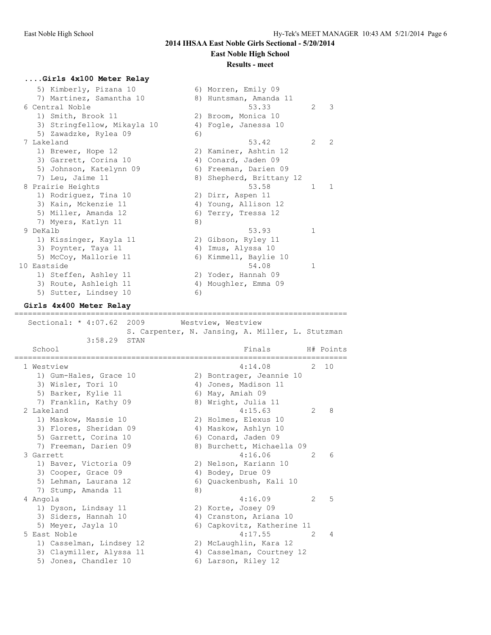### **Results - meet**

#### **....Girls 4x100 Meter Relay**

| 5) Kimberly, Pizana 10      |    | 6) Morren, Emily 09      |               |               |
|-----------------------------|----|--------------------------|---------------|---------------|
| 7) Martinez, Samantha 10    |    | 8) Huntsman, Amanda 11   |               |               |
| 6 Central Noble             |    | 53.33                    | $\mathcal{L}$ | 3             |
| 1) Smith, Brook 11          |    | 2) Broom, Monica 10      |               |               |
| 3) Stringfellow, Mikayla 10 |    | 4) Fogle, Janessa 10     |               |               |
| 5) Zawadzke, Rylea 09       | 6) |                          |               |               |
| 7 Lakeland                  |    | 53.42                    | $\mathcal{L}$ | $\mathcal{L}$ |
| 1) Brewer, Hope 12          |    | 2) Kaminer, Ashtin 12    |               |               |
| 3) Garrett, Corina 10       |    | 4) Conard, Jaden 09      |               |               |
| 5) Johnson, Katelynn 09     |    | 6) Freeman, Darien 09    |               |               |
| 7) Leu, Jaime 11            |    | 8) Shepherd, Brittany 12 |               |               |
| 8 Prairie Heights           |    | 53.58                    | 1             | 1.            |
| 1) Rodriguez, Tina 10       |    | 2) Dirr, Aspen 11        |               |               |
| 3) Kain, Mckenzie 11        |    | 4) Young, Allison 12     |               |               |
| 5) Miller, Amanda 12        |    | 6) Terry, Tressa 12      |               |               |
| 7) Myers, Katlyn 11         | 8) |                          |               |               |
| 9 DeKalb                    |    | 53.93                    | 1             |               |
| 1) Kissinger, Kayla 11      |    | 2) Gibson, Ryley 11      |               |               |
| 3) Poynter, Taya 11         |    | 4) Imus, Alyssa 10       |               |               |
| 5) McCoy, Mallorie 11       |    | 6) Kimmell, Baylie 10    |               |               |
| 10 Eastside                 |    | 54.08                    | 1.            |               |
| 1) Steffen, Ashley 11       |    | 2) Yoder, Hannah 09      |               |               |
| 3) Route, Ashleigh 11       |    | 4) Moughler, Emma 09     |               |               |
| 5) Sutter, Lindsey 10       | 6) |                          |               |               |

#### **Girls 4x400 Meter Relay** ==========================================================================

Sectional: \* 4:07.62 2009 Westview, Westview S. Carpenter, N. Jansing, A. Miller, L. Stutzman 3:58.29 STAN School Finals H# Points ========================================================================== 1 Westview 4:14.08 2 10 1) Gum-Hales, Grace 10 2) Bontrager, Jeannie 10 3) Wisler, Tori 10 (4) Jones, Madison 11 5) Barker, Kylie 11 6) May, Amiah 09 7) Franklin, Kathy 09 8) Wright, Julia 11 2 Lakeland 4:15.63 2 8 1) Maskow, Massie 10 2) Holmes, Elexus 10 3) Flores, Sheridan 09 1940 Maskow, Ashlyn 10 5) Garrett, Corina 10 (6) Conard, Jaden 09 7) Freeman, Darien 09 8) Burchett, Michaella 09 3 Garrett 4:16.06 2 6 1) Baver, Victoria 09 2) Nelson, Kariann 10 3) Cooper, Grace 09 4) Bodey, Drue 09 5) Lehman, Laurana 12 6) Quackenbush, Kali 10 7) Stump, Amanda 11 8) 4 Angola 4:16.09 2 5 1) Dyson, Lindsay 11 2) Korte, Josey 09 3) Siders, Hannah 10  $\hskip 1.6cm 4)$  Cranston, Ariana 10 5) Meyer, Jayla 10 6) Capkovitz, Katherine 11 5 East Noble 4:17.55 2 4 1) Casselman, Lindsey 12 2) McLaughlin, Kara 12 3) Claymiller, Alyssa 11 4) Casselman, Courtney 12 5) Jones, Chandler 10 (6) Larson, Riley 12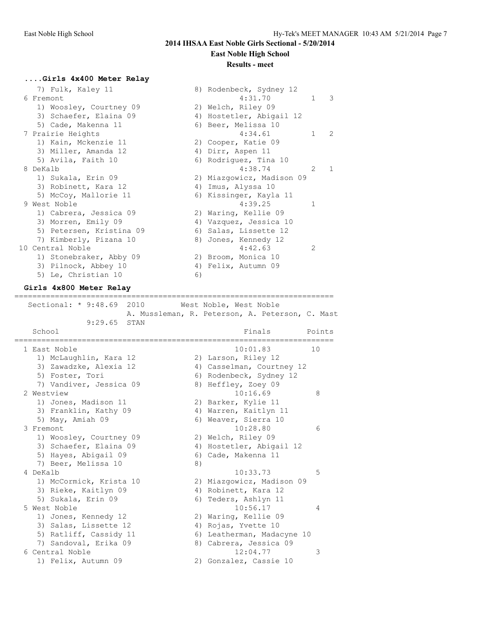# **Results - meet**

### **....Girls 4x400 Meter Relay**

| 7) Fulk, Kaley 11        |    | 8) Rodenbeck, Sydney 12   |              |                |
|--------------------------|----|---------------------------|--------------|----------------|
| 6 Fremont                |    | 4:31.70                   | $\mathbf{1}$ | $\mathcal{B}$  |
| 1) Woosley, Courtney 09  |    | 2) Welch, Riley 09        |              |                |
| 3) Schaefer, Elaina 09   |    | 4) Hostetler, Abigail 12  |              |                |
| 5) Cade, Makenna 11      |    | 6) Beer, Melissa 10       |              |                |
| 7 Prairie Heights        |    | 4:34.61                   | $\mathbf{1}$ | 2              |
| 1) Kain, Mckenzie 11     |    | 2) Cooper, Katie 09       |              |                |
| 3) Miller, Amanda 12     |    | 4) Dirr, Aspen 11         |              |                |
| 5) Avila, Faith 10       |    | 6) Rodriguez, Tina 10     |              |                |
| 8 DeKalb                 |    | 4:38.74                   | 2            | $\overline{1}$ |
| 1) Sukala, Erin 09       |    | 2) Miazgowicz, Madison 09 |              |                |
| 3) Robinett, Kara 12     |    | 4) Imus, Alyssa 10        |              |                |
| 5) McCoy, Mallorie 11    |    | 6) Kissinger, Kayla 11    |              |                |
| 9 West Noble             |    | 4:39.25                   | 1            |                |
| 1) Cabrera, Jessica 09   |    | 2) Waring, Kellie 09      |              |                |
| 3) Morren, Emily 09      |    | 4) Vazquez, Jessica 10    |              |                |
| 5) Petersen, Kristina 09 |    | 6) Salas, Lissette 12     |              |                |
| 7) Kimberly, Pizana 10   |    | 8) Jones, Kennedy 12      |              |                |
| 10 Central Noble         |    | 4:42.63                   | 2            |                |
| 1) Stonebraker, Abby 09  |    | 2) Broom, Monica 10       |              |                |
| 3) Pilnock, Abbey 10     |    | 4) Felix, Autumn 09       |              |                |
| 5) Le, Christian 10      | 6) |                           |              |                |
|                          |    |                           |              |                |

#### **Girls 4x800 Meter Relay**

======================================================================= Sectional: \* 9:48.69 2010 West Noble, West Noble

 A. Mussleman, R. Peterson, A. Peterson, C. Mast 9:29.65 STAN

|  | School                  |    | Finals                     | Points |
|--|-------------------------|----|----------------------------|--------|
|  | 1 East Noble            |    | 10:01.83                   | 10     |
|  | 1) McLaughlin, Kara 12  |    | 2) Larson, Riley 12        |        |
|  | 3) Zawadzke, Alexia 12  |    | 4) Casselman, Courtney 12  |        |
|  | 5) Foster, Tori         |    | 6) Rodenbeck, Sydney 12    |        |
|  | 7) Vandiver, Jessica 09 |    | 8) Heffley, Zoey 09        |        |
|  | 2 Westview              |    | 10:16.69                   | 8      |
|  | 1) Jones, Madison 11    |    | 2) Barker, Kylie 11        |        |
|  | 3) Franklin, Kathy 09   |    | 4) Warren, Kaitlyn 11      |        |
|  | 5) May, Amiah 09        |    | 6) Weaver, Sierra 10       |        |
|  | 3 Fremont               |    | 10:28.80                   | 6      |
|  | 1) Woosley, Courtney 09 |    | 2) Welch, Riley 09         |        |
|  | 3) Schaefer, Elaina 09  |    | 4) Hostetler, Abigail 12   |        |
|  | 5) Hayes, Abigail 09    |    | 6) Cade, Makenna 11        |        |
|  | 7) Beer, Melissa 10     | 8) |                            |        |
|  | 4 DeKalb                |    | 10:33.73                   | 5      |
|  | 1) McCormick, Krista 10 |    | 2) Miazgowicz, Madison 09  |        |
|  | 3) Rieke, Kaitlyn 09    |    | 4) Robinett, Kara 12       |        |
|  | 5) Sukala, Erin 09      |    | 6) Teders, Ashlyn 11       |        |
|  | 5 West Noble            |    | 10:56.17                   | 4      |
|  | 1) Jones, Kennedy 12    |    | 2) Waring, Kellie 09       |        |
|  | 3) Salas, Lissette 12   |    | 4) Rojas, Yvette 10        |        |
|  | 5) Ratliff, Cassidy 11  |    | 6) Leatherman, Madacyne 10 |        |
|  | 7) Sandoval, Erika 09   |    | 8) Cabrera, Jessica 09     |        |
|  | 6 Central Noble         |    | 12:04.77                   | 3      |
|  | 1) Felix, Autumn 09     |    | 2) Gonzalez, Cassie 10     |        |
|  |                         |    |                            |        |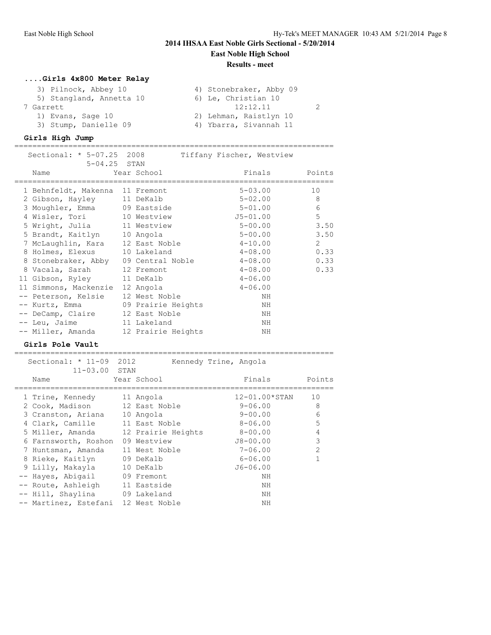**Results - meet**

=======================================================================

# **....Girls 4x800 Meter Relay**

| 3) Pilnock, Abbey 10     | 4) Stonebraker, Abby 09 |
|--------------------------|-------------------------|
| 5) Stangland, Annetta 10 | 6) Le, Christian 10     |
| 7 Garrett                | 12:12.11                |
| 1) Evans, Sage 10        | 2) Lehman, Raistlyn 10  |
| 3) Stump, Danielle 09    | 4) Ybarra, Sivannah 11  |

### **Girls High Jump**

======================================================================= Sectional: \* 5-07.25 2008 Tiffany Fischer, Westview 5-04.25 STAN

| Name                                 | Year School        | Finals       | Points |
|--------------------------------------|--------------------|--------------|--------|
| 1 Behnfeldt, Makenna 11 Fremont      |                    | $5 - 03.00$  | 10     |
| 2 Gibson, Hayley 11 DeKalb           |                    | $5 - 02.00$  | 8      |
| 3 Moughler, Emma 09 Eastside         |                    | $5 - 01.00$  | 6      |
| 4 Wisler, Tori 10 Westview           |                    | $J5 - 01.00$ | 5      |
| 5 Wright, Julia 11 Westview          |                    | $5 - 00.00$  | 3.50   |
| 5 Brandt, Kaitlyn 10 Angola          |                    | $5 - 00.00$  | 3.50   |
| 7 McLaughlin, Kara 12 East Noble     |                    | $4 - 10.00$  | 2      |
| 8 Holmes, Elexus 10 Lakeland         |                    | $4 - 08.00$  | 0.33   |
| 8 Stonebraker, Abby 09 Central Noble |                    | $4 - 08.00$  | 0.33   |
| 8 Vacala, Sarah 12 Fremont           |                    | $4 - 08.00$  | 0.33   |
| 11 Gibson, Ryley 11 DeKalb           |                    | $4 - 06.00$  |        |
| 11 Simmons, Mackenzie 12 Angola      |                    | $4 - 06.00$  |        |
| -- Peterson, Kelsie                  | 12 West Noble      | NH           |        |
| -- Kurtz, Emma                       | 09 Prairie Heights | ΝH           |        |
| -- DeCamp, Claire 12 East Noble      |                    | ΝH           |        |
| -- Leu, Jaime                        | 11 Lakeland        | ΝH           |        |
| -- Miller, Amanda                    | 12 Prairie Heights | ΝH           |        |

#### **Girls Pole Vault**

| Sectional: $* 11-09$<br>$11 - 03.00$ STAN | 2012 |                    | Kennedy Trine, Angola |                |
|-------------------------------------------|------|--------------------|-----------------------|----------------|
| Name                                      |      | Year School        | Finals                | Points         |
| 1 Trine, Kennedy                          |      | 11 Angola          | $12 - 01.00*$ STAN    | 10             |
| 2 Cook, Madison                           |      | 12 East Noble      | $9 - 06.00$           | 8              |
| 3 Cranston, Ariana                        |      | 10 Angola          | $9 - 00.00$           | 6              |
| 4 Clark, Camille                          |      | 11 East Noble      | $8 - 06.00$           | 5              |
| 5 Miller, Amanda                          |      | 12 Prairie Heights | $8 - 00.00$           | 4              |
| 6 Farnsworth, Roshon                      |      | 09 Westview        | J8-00.00              | 3              |
| 7 Huntsman, Amanda                        |      | 11 West Noble      | $7 - 06.00$           | $\overline{2}$ |
| 8 Rieke, Kaitlyn                          |      | 09 DeKalb          | $6 - 06.00$           |                |
| 9 Lilly, Makayla                          |      | 10 DeKalb          | $J6 - 06.00$          |                |
| -- Hayes, Abiqail                         |      | 09 Fremont         | ΝH                    |                |
| -- Route, Ashleigh 11 Eastside            |      |                    | ΝH                    |                |
| -- Hill, Shaylina 09 Lakeland             |      |                    | ΝH                    |                |
| -- Martinez, Estefani 12 West Noble       |      |                    | NΗ                    |                |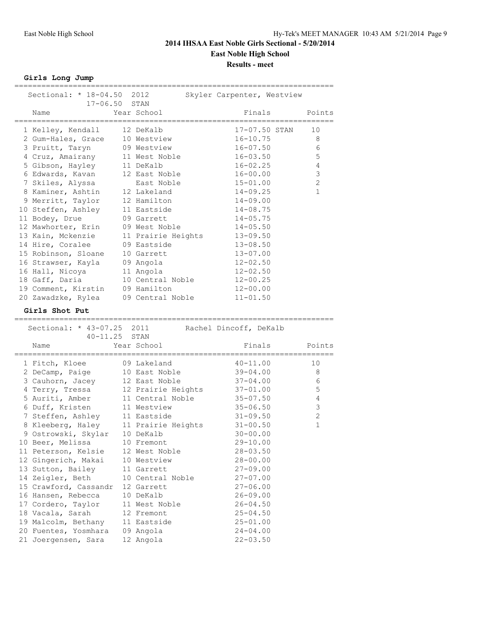**Girls Long Jump**

| Sectional: * 18-04.50 2012                  |                                 | Skyler Carpenter, Westview   |                |
|---------------------------------------------|---------------------------------|------------------------------|----------------|
| 17-06.50 STAN                               |                                 |                              |                |
| Name<br>===============                     | Year School                     | Finals                       | Points         |
| 1 Kelley, Kendall                           | 12 DeKalb                       | 17-07.50 STAN                | ========<br>10 |
| 2 Gum-Hales, Grace                          | 10 Westview                     | $16 - 10.75$                 | 8              |
| 3 Pruitt, Taryn                             | 09 Westview                     | $16 - 07.50$                 | 6              |
| 4 Cruz, Amairany                            | 11 West Noble                   | $16 - 03.50$                 | 5              |
| 5 Gibson, Hayley                            | 11 DeKalb                       | $16 - 02.25$                 | $\overline{4}$ |
| 6 Edwards, Kavan                            | 12 East Noble                   | $16 - 00.00$                 | $\mathsf 3$    |
| 7 Skiles, Alyssa                            | East Noble                      | $15 - 01.00$                 | $\mathbf{2}$   |
| 8 Kaminer, Ashtin                           | 12 Lakeland                     | $14 - 09.25$                 | $\mathbf{1}$   |
| 9 Merritt, Taylor                           | 12 Hamilton                     | $14 - 09.00$                 |                |
| 10 Steffen, Ashley                          | 11 Eastside                     | $14 - 08.75$                 |                |
| 11 Bodey, Drue                              | 09 Garrett                      | $14 - 05.75$                 |                |
| 12 Mawhorter, Erin                          | 09 West Noble                   | $14 - 05.50$                 |                |
| 13 Kain, Mckenzie                           | 11 Prairie Heights              | $13 - 09.50$                 |                |
| 14 Hire, Coralee                            |                                 |                              |                |
| 15 Robinson, Sloane                         | 09 Eastside                     | $13 - 08.50$                 |                |
|                                             | 10 Garrett                      | $13 - 07.00$                 |                |
| 16 Strawser, Kayla                          | 09 Angola                       | $12 - 02.50$                 |                |
| 16 Hall, Nicoya                             | 11 Angola                       | $12 - 02.50$                 |                |
| 18 Gaff, Daria                              | 10 Central Noble                | $12 - 00.25$                 |                |
| 19 Comment, Kirstin                         | 09 Hamilton                     | $12 - 00.00$                 |                |
| 20 Zawadzke, Rylea                          | 09 Central Noble                | $11 - 01.50$                 |                |
| Girls Shot Put                              |                                 |                              |                |
| ===============                             |                                 |                              |                |
|                                             |                                 |                              |                |
| Sectional: * 43-07.25 2011                  |                                 | Rachel Dincoff, DeKalb       |                |
| 40-11.25 STAN                               |                                 |                              |                |
| Name                                        | Year School                     | Finals                       | Points         |
| 1 Fitch, Kloee                              | 09 Lakeland                     | $40 - 11.00$                 | 10             |
| 2 DeCamp, Paige                             | 10 East Noble                   | $39 - 04.00$                 | 8              |
| 3 Cauhorn, Jacey                            | 12 East Noble                   | $37 - 04.00$                 | 6              |
| 4 Terry, Tressa                             | 12 Prairie Heights              | $37 - 01.00$                 | $\mathsf S$    |
| 5 Auriti, Amber                             | 11 Central Noble                | $35 - 07.50$                 | 4              |
| 6 Duff, Kristen                             | 11 Westview                     | $35 - 06.50$                 | 3              |
| 7 Steffen, Ashley                           | 11 Eastside                     | $31 - 09.50$                 | $\mathbf{2}$   |
|                                             |                                 | $31 - 00.50$                 | 1              |
| 8 Kleeberg, Haley                           | 11 Prairie Heights<br>10 DeKalb | $30 - 00.00$                 |                |
| 9 Ostrowski, Skylar                         | 10 Fremont                      |                              |                |
| 10 Beer, Melissa                            |                                 | 29-10.00<br>28-03.50         |                |
| 11 Peterson, Kelsie                         | 12 West Noble                   |                              |                |
| 12 Gingerich, Makai                         | 10 Westview<br>11 Garrett       | $28 - 00.00$                 |                |
| 13 Sutton, Bailey                           | 10 Central Noble                | 27-09.00<br>$27 - 07.00$     |                |
| 14 Zeigler, Beth                            |                                 |                              |                |
| 15 Crawford, Cassandr                       | 12 Garrett                      | $27 - 06.00$                 |                |
| 16 Hansen, Rebecca                          | 10 DeKalb                       | $26 - 09.00$                 |                |
| 17 Cordero, Taylor                          | 11 West Noble                   | 26-04.50                     |                |
| 18 Vacala, Sarah                            | 12 Fremont                      | $25 - 04.50$                 |                |
| 19 Malcolm, Bethany                         | 11 Eastside                     | $25 - 01.00$                 |                |
| 20 Fuentes, Yosmhara<br>21 Joergensen, Sara | 09 Angola<br>12 Angola          | $24 - 04.00$<br>$22 - 03.50$ |                |